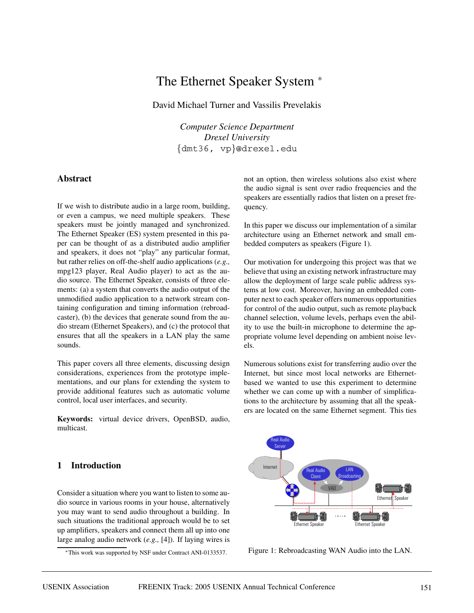# The Ethernet Speaker System <sup>∗</sup>

David Michael Turner and Vassilis Prevelakis

*Computer Science Department Drexel University* {dmt36, vp}@drexel.edu

# **Abstract**

If we wish to distribute audio in a large room, building, or even a campus, we need multiple speakers. These speakers must be jointly managed and synchronized. The Ethernet Speaker (ES) system presented in this paper can be thought of as a distributed audio amplifier and speakers, it does not "play" any particular format, but rather relies on off-the-shelf audio applications (*e.g.,* mpg123 player, Real Audio player) to act as the audio source. The Ethernet Speaker, consists of three elements: (a) a system that converts the audio output of the unmodified audio application to a network stream containing configuration and timing information (rebroadcaster), (b) the devices that generate sound from the audio stream (Ethernet Speakers), and (c) the protocol that ensures that all the speakers in a LAN play the same sounds.

This paper covers all three elements, discussing design considerations, experiences from the prototype implementations, and our plans for extending the system to provide additional features such as automatic volume control, local user interfaces, and security.

**Keywords:** virtual device drivers, OpenBSD, audio, multicast.

# **1 Introduction**

Consider a situation where you want to listen to some audio source in various rooms in your house, alternatively you may want to send audio throughout a building. In such situations the traditional approach would be to set up amplifiers, speakers and connect them all up into one large analog audio network (*e.g.,* [4]). If laying wires is

<sup>∗</sup>This work was supported by NSF under Contract ANI-0133537.

not an option, then wireless solutions also exist where the audio signal is sent over radio frequencies and the speakers are essentially radios that listen on a preset frequency.

In this paper we discuss our implementation of a similar architecture using an Ethernet network and small embedded computers as speakers (Figure 1).

Our motivation for undergoing this project was that we believe that using an existing network infrastructure may allow the deployment of large scale public address systems at low cost. Moreover, having an embedded computer next to each speaker offers numerous opportunities for control of the audio output, such as remote playback channel selection, volume levels, perhaps even the ability to use the built-in microphone to determine the appropriate volume level depending on ambient noise levels.

Numerous solutions exist for transferring audio over the Internet, but since most local networks are Ethernetbased we wanted to use this experiment to determine whether we can come up with a number of simplifications to the architecture by assuming that all the speakers are located on the same Ethernet segment. This ties



Figure 1: Rebroadcasting WAN Audio into the LAN.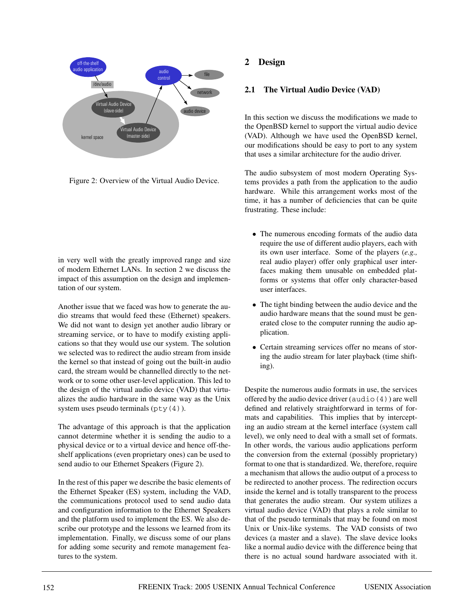

Figure 2: Overview of the Virtual Audio Device.

in very well with the greatly improved range and size of modern Ethernet LANs. In section 2 we discuss the impact of this assumption on the design and implementation of our system.

Another issue that we faced was how to generate the audio streams that would feed these (Ethernet) speakers. We did not want to design yet another audio library or streaming service, or to have to modify existing applications so that they would use our system. The solution we selected was to redirect the audio stream from inside the kernel so that instead of going out the built-in audio card, the stream would be channelled directly to the network or to some other user-level application. This led to the design of the virtual audio device (VAD) that virtualizes the audio hardware in the same way as the Unix system uses pseudo terminals  $(\text{pty}(4))$ .

The advantage of this approach is that the application cannot determine whether it is sending the audio to a physical device or to a virtual device and hence off-theshelf applications (even proprietary ones) can be used to send audio to our Ethernet Speakers (Figure 2).

In the rest of this paper we describe the basic elements of the Ethernet Speaker (ES) system, including the VAD, the communications protocol used to send audio data and configuration information to the Ethernet Speakers and the platform used to implement the ES. We also describe our prototype and the lessons we learned from its implementation. Finally, we discuss some of our plans for adding some security and remote management features to the system.

# **2 Design**

# **2.1 The Virtual Audio Device (VAD)**

In this section we discuss the modifications we made to the OpenBSD kernel to support the virtual audio device (VAD). Although we have used the OpenBSD kernel, our modifications should be easy to port to any system that uses a similar architecture for the audio driver.

The audio subsystem of most modern Operating Systems provides a path from the application to the audio hardware. While this arrangement works most of the time, it has a number of deficiencies that can be quite frustrating. These include:

- The numerous encoding formats of the audio data require the use of different audio players, each with its own user interface. Some of the players (*e.g.,* real audio player) offer only graphical user interfaces making them unusable on embedded platforms or systems that offer only character-based user interfaces.
- The tight binding between the audio device and the audio hardware means that the sound must be generated close to the computer running the audio application.
- Certain streaming services offer no means of storing the audio stream for later playback (time shifting).

Despite the numerous audio formats in use, the services offered by the audio device driver (audio(4)) are well defined and relatively straightforward in terms of formats and capabilities. This implies that by intercepting an audio stream at the kernel interface (system call level), we only need to deal with a small set of formats. In other words, the various audio applications perform the conversion from the external (possibly proprietary) format to one that is standardized. We, therefore, require a mechanism that allows the audio output of a process to be redirected to another process. The redirection occurs inside the kernel and is totally transparent to the process that generates the audio stream. Our system utilizes a virtual audio device (VAD) that plays a role similar to that of the pseudo terminals that may be found on most Unix or Unix-like systems. The VAD consists of two devices (a master and a slave). The slave device looks like a normal audio device with the difference being that there is no actual sound hardware associated with it.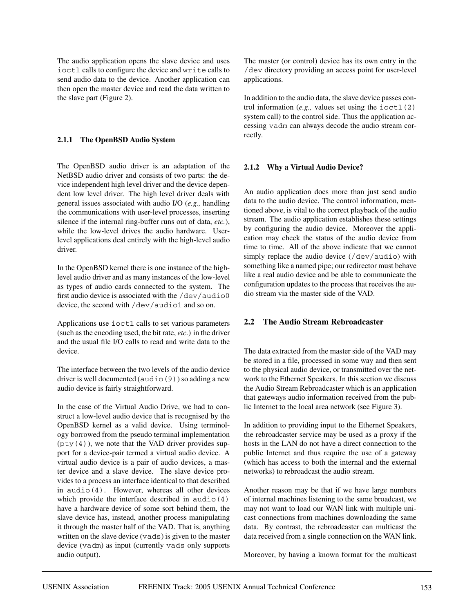The audio application opens the slave device and uses ioctl calls to configure the device and write calls to send audio data to the device. Another application can then open the master device and read the data written to the slave part (Figure 2).

#### **2.1.1 The OpenBSD Audio System**

The OpenBSD audio driver is an adaptation of the NetBSD audio driver and consists of two parts: the device independent high level driver and the device dependent low level driver. The high level driver deals with general issues associated with audio I/O (*e.g.,* handling the communications with user-level processes, inserting silence if the internal ring-buffer runs out of data, *etc.*), while the low-level drives the audio hardware. Userlevel applications deal entirely with the high-level audio driver.

In the OpenBSD kernel there is one instance of the highlevel audio driver and as many instances of the low-level as types of audio cards connected to the system. The first audio device is associated with the  $/$ dev $/$ audio0 device, the second with /dev/audio1 and so on.

Applications use ioctl calls to set various parameters (such as the encoding used, the bit rate, *etc.*) in the driver and the usual file I/O calls to read and write data to the device.

The interface between the two levels of the audio device driver is well documented (audio(9)) so adding a new audio device is fairly straightforward.

In the case of the Virtual Audio Drive, we had to construct a low-level audio device that is recognised by the OpenBSD kernel as a valid device. Using terminology borrowed from the pseudo terminal implementation  $(pty(4))$ , we note that the VAD driver provides support for a device-pair termed a virtual audio device. A virtual audio device is a pair of audio devices, a master device and a slave device. The slave device provides to a process an interface identical to that described in audio(4). However, whereas all other devices which provide the interface described in audio(4) have a hardware device of some sort behind them, the slave device has, instead, another process manipulating it through the master half of the VAD. That is, anything written on the slave device (vads) is given to the master device (vadm) as input (currently vads only supports audio output).

The master (or control) device has its own entry in the /dev directory providing an access point for user-level applications.

In addition to the audio data, the slave device passes control information  $(e.g.,$  values set using the  $i$ octl $(2)$ system call) to the control side. Thus the application accessing vadm can always decode the audio stream correctly.

#### **2.1.2 Why a Virtual Audio Device?**

An audio application does more than just send audio data to the audio device. The control information, mentioned above, is vital to the correct playback of the audio stream. The audio application establishes these settings by configuring the audio device. Moreover the application may check the status of the audio device from time to time. All of the above indicate that we cannot simply replace the audio device (/dev/audio) with something like a named pipe; our redirector must behave like a real audio device and be able to communicate the configuration updates to the process that receives the audio stream via the master side of the VAD.

#### **2.2 The Audio Stream Rebroadcaster**

The data extracted from the master side of the VAD may be stored in a file, processed in some way and then sent to the physical audio device, or transmitted over the network to the Ethernet Speakers. In this section we discuss the Audio Stream Rebroadcaster which is an application that gateways audio information received from the public Internet to the local area network (see Figure 3).

In addition to providing input to the Ethernet Speakers, the rebroadcaster service may be used as a proxy if the hosts in the LAN do not have a direct connection to the public Internet and thus require the use of a gateway (which has access to both the internal and the external networks) to rebroadcast the audio stream.

Another reason may be that if we have large numbers of internal machines listening to the same broadcast, we may not want to load our WAN link with multiple unicast connections from machines downloading the same data. By contrast, the rebroadcaster can multicast the data received from a single connection on the WAN link.

Moreover, by having a known format for the multicast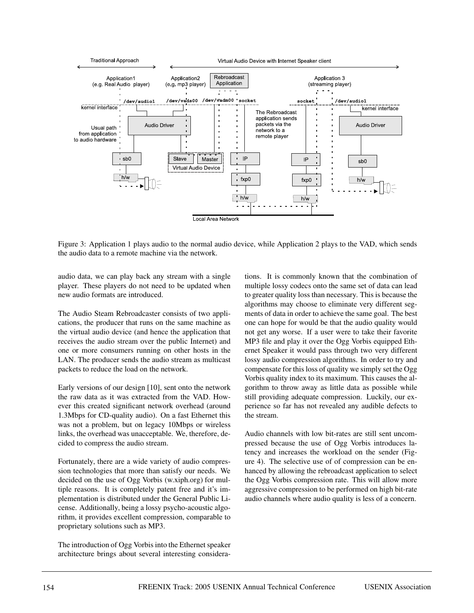

Figure 3: Application 1 plays audio to the normal audio device, while Application 2 plays to the VAD, which sends the audio data to a remote machine via the network.

audio data, we can play back any stream with a single player. These players do not need to be updated when new audio formats are introduced.

The Audio Steam Rebroadcaster consists of two applications, the producer that runs on the same machine as the virtual audio device (and hence the application that receives the audio stream over the public Internet) and one or more consumers running on other hosts in the LAN. The producer sends the audio stream as multicast packets to reduce the load on the network.

Early versions of our design [10], sent onto the network the raw data as it was extracted from the VAD. However this created significant network overhead (around 1.3Mbps for CD-quality audio). On a fast Ethernet this was not a problem, but on legacy 10Mbps or wireless links, the overhead was unacceptable. We, therefore, decided to compress the audio stream.

Fortunately, there are a wide variety of audio compression technologies that more than satisfy our needs. We decided on the use of Ogg Vorbis (w.xiph.org) for multiple reasons. It is completely patent free and it's implementation is distributed under the General Public License. Additionally, being a lossy psycho-acoustic algorithm, it provides excellent compression, comparable to proprietary solutions such as MP3.

The introduction of Ogg Vorbis into the Ethernet speaker architecture brings about several interesting considerations. It is commonly known that the combination of multiple lossy codecs onto the same set of data can lead to greater quality loss than necessary. This is because the algorithms may choose to eliminate very different segments of data in order to achieve the same goal. The best one can hope for would be that the audio quality would not get any worse. If a user were to take their favorite MP3 file and play it over the Ogg Vorbis equipped Ethernet Speaker it would pass through two very different lossy audio compression algorithms. In order to try and compensate for this loss of quality we simply set the Ogg Vorbis quality index to its maximum. This causes the algorithm to throw away as little data as possible while still providing adequate compression. Luckily, our experience so far has not revealed any audible defects to the stream.

Audio channels with low bit-rates are still sent uncompressed because the use of Ogg Vorbis introduces latency and increases the workload on the sender (Figure 4). The selective use of of compression can be enhanced by allowing the rebroadcast application to select the Ogg Vorbis compression rate. This will allow more aggressive compression to be performed on high bit-rate audio channels where audio quality is less of a concern.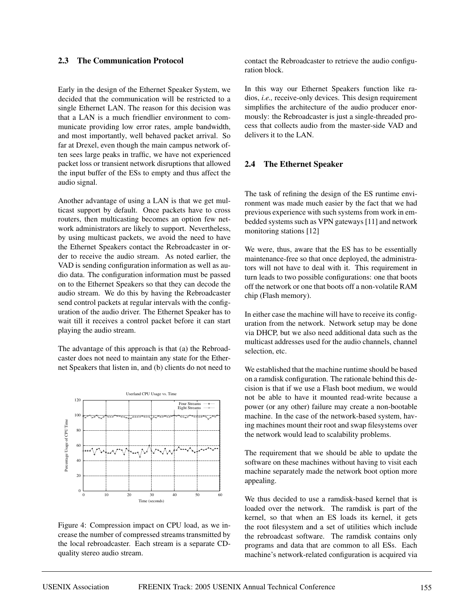#### **2.3 The Communication Protocol**

Early in the design of the Ethernet Speaker System, we decided that the communication will be restricted to a single Ethernet LAN. The reason for this decision was that a LAN is a much friendlier environment to communicate providing low error rates, ample bandwidth, and most importantly, well behaved packet arrival. So far at Drexel, even though the main campus network often sees large peaks in traffic, we have not experienced packet loss or transient network disruptions that allowed the input buffer of the ESs to empty and thus affect the audio signal.

Another advantage of using a LAN is that we get multicast support by default. Once packets have to cross routers, then multicasting becomes an option few network administrators are likely to support. Nevertheless, by using multicast packets, we avoid the need to have the Ethernet Speakers contact the Rebroadcaster in order to receive the audio stream. As noted earlier, the VAD is sending configuration information as well as audio data. The configuration information must be passed on to the Ethernet Speakers so that they can decode the audio stream. We do this by having the Rebroadcaster send control packets at regular intervals with the configuration of the audio driver. The Ethernet Speaker has to wait till it receives a control packet before it can start playing the audio stream.

The advantage of this approach is that (a) the Rebroadcaster does not need to maintain any state for the Ethernet Speakers that listen in, and (b) clients do not need to



Figure 4: Compression impact on CPU load, as we increase the number of compressed streams transmitted by the local rebroadcaster. Each stream is a separate CDquality stereo audio stream.

contact the Rebroadcaster to retrieve the audio configuration block.

In this way our Ethernet Speakers function like radios, *i.e.,* receive-only devices. This design requirement simplifies the architecture of the audio producer enormously: the Rebroadcaster is just a single-threaded process that collects audio from the master-side VAD and delivers it to the LAN.

#### **2.4 The Ethernet Speaker**

The task of refining the design of the ES runtime environment was made much easier by the fact that we had previous experience with such systems from work in embedded systems such as VPN gateways [11] and network monitoring stations [12]

We were, thus, aware that the ES has to be essentially maintenance-free so that once deployed, the administrators will not have to deal with it. This requirement in turn leads to two possible configurations: one that boots off the network or one that boots off a non-volatile RAM chip (Flash memory).

In either case the machine will have to receive its configuration from the network. Network setup may be done via DHCP, but we also need additional data such as the multicast addresses used for the audio channels, channel selection, etc.

We established that the machine runtime should be based on a ramdisk configuration. The rationale behind this decision is that if we use a Flash boot medium, we would not be able to have it mounted read-write because a power (or any other) failure may create a non-bootable machine. In the case of the network-based system, having machines mount their root and swap filesystems over the network would lead to scalability problems.

The requirement that we should be able to update the software on these machines without having to visit each machine separately made the network boot option more appealing.

We thus decided to use a ramdisk-based kernel that is loaded over the network. The ramdisk is part of the kernel, so that when an ES loads its kernel, it gets the root filesystem and a set of utilities which include the rebroadcast software. The ramdisk contains only programs and data that are common to all ESs. Each machine's network-related configuration is acquired via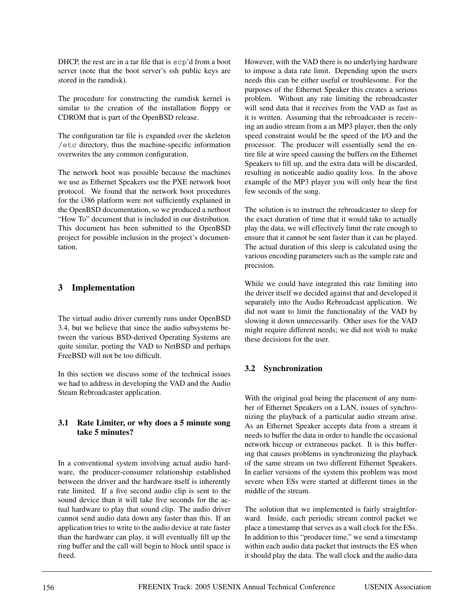DHCP, the rest are in a tar file that is scp'd from a boot server (note that the boot server's ssh public keys are stored in the ramdisk).

The procedure for constructing the ramdisk kernel is similar to the creation of the installation floppy or CDROM that is part of the OpenBSD release.

The configuration tar file is expanded over the skeleton /etc directory, thus the machine-specific information overwrites the any common configuration.

The network boot was possible because the machines we use as Ethernet Speakers use the PXE network boot protocol. We found that the network boot procedures for the i386 platform were not sufficiently explained in the OpenBSD documentation, so we produced a netboot "How To" document that is included in our distribution. This document has been submitted to the OpenBSD project for possible inclusion in the project's documentation.

# **3 Implementation**

The virtual audio driver currently runs under OpenBSD 3.4, but we believe that since the audio subsystems between the various BSD-derived Operating Systems are quite similar, porting the VAD to NetBSD and perhaps FreeBSD will not be too difficult.

In this section we discuss some of the technical issues we had to address in developing the VAD and the Audio Steam Rebroadcaster application.

#### **3.1 Rate Limiter, or why does a 5 minute song take 5 minutes?**

In a conventional system involving actual audio hardware, the producer-consumer relationship established between the driver and the hardware itself is inherently rate limited. If a five second audio clip is sent to the sound device than it will take five seconds for the actual hardware to play that sound clip. The audio driver cannot send audio data down any faster than this. If an application tries to write to the audio device at rate faster than the hardware can play, it will eventually fill up the ring buffer and the call will begin to block until space is freed.

However, with the VAD there is no underlying hardware to impose a data rate limit. Depending upon the users needs this can be either useful or troublesome. For the purposes of the Ethernet Speaker this creates a serious problem. Without any rate limiting the rebroadcaster will send data that it receives from the VAD as fast as it is written. Assuming that the rebroadcaster is receiving an audio stream from a an MP3 player, then the only speed constraint would be the speed of the I/O and the processor. The producer will essentially send the entire file at wire speed causing the buffers on the Ethernet Speakers to fill up, and the extra data will be discarded, resulting in noticeable audio quality loss. In the above example of the MP3 player you will only hear the first few seconds of the song.

The solution is to instruct the rebroadcaster to sleep for the exact duration of time that it would take to actually play the data, we will effectively limit the rate enough to ensure that it cannot be sent faster than it can be played. The actual duration of this sleep is calculated using the various encoding parameters such as the sample rate and precision.

While we could have integrated this rate limiting into the driver itself we decided against that and developed it separately into the Audio Rebroadcast application. We did not want to limit the functionality of the VAD by slowing it down unnecessarily. Other uses for the VAD might require different needs; we did not wish to make these decisions for the user.

# **3.2 Synchronization**

With the original goal being the placement of any number of Ethernet Speakers on a LAN, issues of synchronizing the playback of a particular audio stream arise. As an Ethernet Speaker accepts data from a stream it needs to buffer the data in order to handle the occasional network hiccup or extraneous packet. It is this buffering that causes problems in synchronizing the playback of the same stream on two different Ethernet Speakers. In earlier versions of the system this problem was most severe when ESs were started at different times in the middle of the stream.

The solution that we implemented is fairly straightforward. Inside, each periodic stream control packet we place a timestamp that serves as a wall clock for the ESs. In addition to this "producer time," we send a timestamp within each audio data packet that instructs the ES when it should play the data. The wall clock and the audio data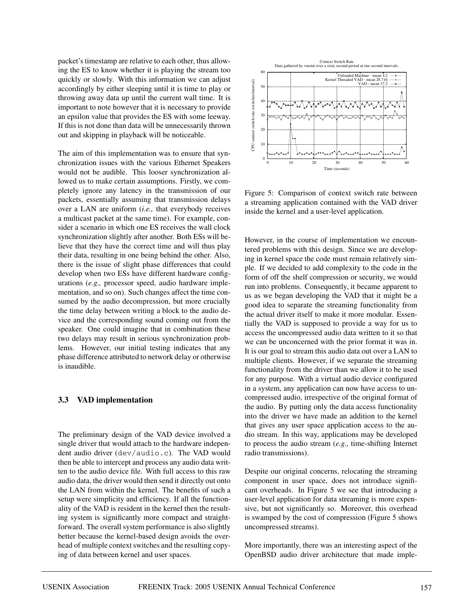packet's timestamp are relative to each other, thus allowing the ES to know whether it is playing the stream too quickly or slowly. With this information we can adjust accordingly by either sleeping until it is time to play or throwing away data up until the current wall time. It is important to note however that it is necessary to provide an epsilon value that provides the ES with some leeway. If this is not done than data will be unnecessarily thrown out and skipping in playback will be noticeable.

The aim of this implementation was to ensure that synchronization issues with the various Ethernet Speakers would not be audible. This looser synchronization allowed us to make certain assumptions. Firstly, we completely ignore any latency in the transmission of our packets, essentially assuming that transmission delays over a LAN are uniform (*i.e.,* that everybody receives a multicast packet at the same time). For example, consider a scenario in which one ES receives the wall clock synchronization slightly after another. Both ESs will believe that they have the correct time and will thus play their data, resulting in one being behind the other. Also, there is the issue of slight phase differences that could develop when two ESs have different hardware configurations (*e.g.,* processor speed, audio hardware implementation, and so on). Such changes affect the time consumed by the audio decompression, but more crucially the time delay between writing a block to the audio device and the corresponding sound coming out from the speaker. One could imagine that in combination these two delays may result in serious synchronization problems. However, our initial testing indicates that any phase difference attributed to network delay or otherwise is inaudible.

#### **3.3 VAD implementation**

The preliminary design of the VAD device involved a single driver that would attach to the hardware independent audio driver (dev/audio.c). The VAD would then be able to intercept and process any audio data written to the audio device file. With full access to this raw audio data, the driver would then send it directly out onto the LAN from within the kernel. The benefits of such a setup were simplicity and efficiency. If all the functionality of the VAD is resident in the kernel then the resulting system is significantly more compact and straightforward. The overall system performance is also slightly better because the kernel-based design avoids the overhead of multiple context switches and the resulting copying of data between kernel and user spaces.



Figure 5: Comparison of context switch rate between a streaming application contained with the VAD driver inside the kernel and a user-level application.

However, in the course of implementation we encountered problems with this design. Since we are developing in kernel space the code must remain relatively simple. If we decided to add complexity to the code in the form of off the shelf compression or security, we would run into problems. Consequently, it became apparent to us as we began developing the VAD that it might be a good idea to separate the streaming functionality from the actual driver itself to make it more modular. Essentially the VAD is supposed to provide a way for us to access the uncompressed audio data written to it so that we can be unconcerned with the prior format it was in. It is our goal to stream this audio data out over a LAN to multiple clients. However, if we separate the streaming functionality from the driver than we allow it to be used for any purpose. With a virtual audio device configured in a system, any application can now have access to uncompressed audio, irrespective of the original format of the audio. By putting only the data access functionality into the driver we have made an addition to the kernel that gives any user space application access to the audio stream. In this way, applications may be developed to process the audio stream (*e.g.,* time-shifting Internet radio transmissions).

Despite our original concerns, relocating the streaming component in user space, does not introduce significant overheads. In Figure 5 we see that introducing a user-level application for data streaming is more expensive, but not significantly so. Moreover, this overhead is swamped by the cost of compression (Figure 5 shows uncompressed streams).

More importantly, there was an interesting aspect of the OpenBSD audio driver architecture that made imple-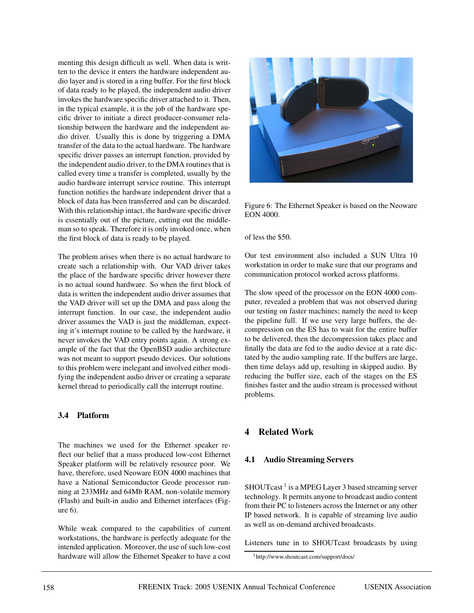menting this design difficult as well. When data is written to the device it enters the hardware independent audio layer and is stored in a ring buffer. For the first block of data ready to be played, the independent audio driver invokes the hardware specific driver attached to it. Then, in the typical example, it is the job of the hardware specific driver to initiate a direct producer-consumer relationship between the hardware and the independent audio driver. Usually this is done by triggering a DMA transfer of the data to the actual hardware. The hardware specific driver passes an interrupt function, provided by the independent audio driver, to the DMA routines that is called every time a transfer is completed, usually by the audio hardware interrupt service routine. This interrupt function notifies the hardware independent driver that a block of data has been transferred and can be discarded. With this relationship intact, the hardware specific driver is essentially out of the picture, cutting out the middleman so to speak. Therefore it is only invoked once, when the first block of data is ready to be played.

The problem arises when there is no actual hardware to create such a relationship with. Our VAD driver takes the place of the hardware specific driver however there is no actual sound hardware. So when the first block of data is written the independent audio driver assumes that the VAD driver will set up the DMA and pass along the interrupt function. In our case, the independent audio driver assumes the VAD is just the middleman, expecting it's interrupt routine to be called by the hardware, it never invokes the VAD entry points again. A strong example of the fact that the OpenBSD audio architecture was not meant to support pseudo devices. Our solutions to this problem were inelegant and involved either modifying the independent audio driver or creating a separate kernel thread to periodically call the interrupt routine.

# **3.4 Platform**

The machines we used for the Ethernet speaker reflect our belief that a mass produced low-cost Ethernet Speaker platform will be relatively resource poor. We have, therefore, used Neoware EON 4000 machines that have a National Semiconductor Geode processor running at 233MHz and 64Mb RAM, non-volatile memory (Flash) and built-in audio and Ethernet interfaces (Figure 6).

While weak compared to the capabilities of current workstations, the hardware is perfectly adequate for the intended application. Moreover, the use of such low-cost hardware will allow the Ethernet Speaker to have a cost



Figure 6: The Ethernet Speaker is based on the Neoware EON 4000.

of less the \$50.

Our test environment also included a SUN Ultra 10 workstation in order to make sure that our programs and communication protocol worked across platforms.

The slow speed of the processor on the EON 4000 computer, revealed a problem that was not observed during our testing on faster machines; namely the need to keep the pipeline full. If we use very large buffers, the decompression on the ES has to wait for the entire buffer to be delivered, then the decompression takes place and finally the data are fed to the audio device at a rate dictated by the audio sampling rate. If the buffers are large, then time delays add up, resulting in skipped audio. By reducing the buffer size, each of the stages on the ES finishes faster and the audio stream is processed without problems.

# **4 Related Work**

# **4.1 Audio Streaming Servers**

 $SHOUTcast<sup>1</sup>$  is a MPEG Layer 3 based streaming server technology. It permits anyone to broadcast audio content from their PC to listeners across the Internet or any other IP based network. It is capable of streaming live audio as well as on-demand archived broadcasts.

Listeners tune in to SHOUTcast broadcasts by using

<sup>1</sup>http://www.shoutcast.com/support/docs/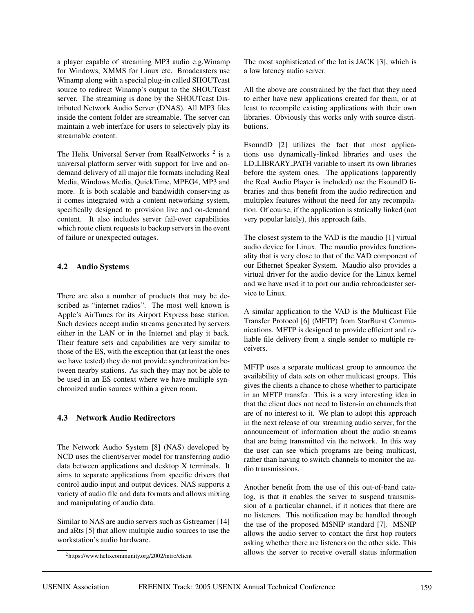a player capable of streaming MP3 audio e.g.Winamp for Windows, XMMS for Linux etc. Broadcasters use Winamp along with a special plug-in called SHOUTcast source to redirect Winamp's output to the SHOUTcast server. The streaming is done by the SHOUTcast Distributed Network Audio Server (DNAS). All MP3 files inside the content folder are streamable. The server can maintain a web interface for users to selectively play its streamable content.

The Helix Universal Server from RealNetworks  $2$  is a universal platform server with support for live and ondemand delivery of all major file formats including Real Media, Windows Media, QuickTime, MPEG4, MP3 and more. It is both scalable and bandwidth conserving as it comes integrated with a content networking system, specifically designed to provision live and on-demand content. It also includes server fail-over capabilities which route client requests to backup servers in the event of failure or unexpected outages.

#### **4.2 Audio Systems**

There are also a number of products that may be described as "internet radios". The most well known is Apple's AirTunes for its Airport Express base station. Such devices accept audio streams generated by servers either in the LAN or in the Internet and play it back. Their feature sets and capabilities are very similar to those of the ES, with the exception that (at least the ones we have tested) they do not provide synchronization between nearby stations. As such they may not be able to be used in an ES context where we have multiple synchronized audio sources within a given room.

# **4.3 Network Audio Redirectors**

The Network Audio System [8] (NAS) developed by NCD uses the client/server model for transferring audio data between applications and desktop X terminals. It aims to separate applications from specific drivers that control audio input and output devices. NAS supports a variety of audio file and data formats and allows mixing and manipulating of audio data.

Similar to NAS are audio servers such as Gstreamer [14] and aRts [5] that allow multiple audio sources to use the workstation's audio hardware.

The most sophisticated of the lot is JACK [3], which is a low latency audio server.

All the above are constrained by the fact that they need to either have new applications created for them, or at least to recompile existing applications with their own libraries. Obviously this works only with source distributions.

EsoundD [2] utilizes the fact that most applications use dynamically-linked libraries and uses the LD LIBRARY PATH variable to insert its own libraries before the system ones. The applications (apparently the Real Audio Player is included) use the EsoundD libraries and thus benefit from the audio redirection and multiplex features without the need for any recompilation. Of course, if the application is statically linked (not very popular lately), this approach fails.

The closest system to the VAD is the maudio [1] virtual audio device for Linux. The maudio provides functionality that is very close to that of the VAD component of our Ethernet Speaker System. Maudio also provides a virtual driver for the audio device for the Linux kernel and we have used it to port our audio rebroadcaster service to Linux.

A similar application to the VAD is the Multicast File Transfer Protocol [6] (MFTP) from StarBurst Communications. MFTP is designed to provide efficient and reliable file delivery from a single sender to multiple receivers.

MFTP uses a separate multicast group to announce the availability of data sets on other multicast groups. This gives the clients a chance to chose whether to participate in an MFTP transfer. This is a very interesting idea in that the client does not need to listen-in on channels that are of no interest to it. We plan to adopt this approach in the next release of our streaming audio server, for the announcement of information about the audio streams that are being transmitted via the network. In this way the user can see which programs are being multicast, rather than having to switch channels to monitor the audio transmissions.

Another benefit from the use of this out-of-band catalog, is that it enables the server to suspend transmission of a particular channel, if it notices that there are no listeners. This notification may be handled through the use of the proposed MSNIP standard [7]. MSNIP allows the audio server to contact the first hop routers asking whether there are listeners on the other side. This allows the server to receive overall status information

<sup>2</sup>https://www.helixcommunity.org/2002/intro/client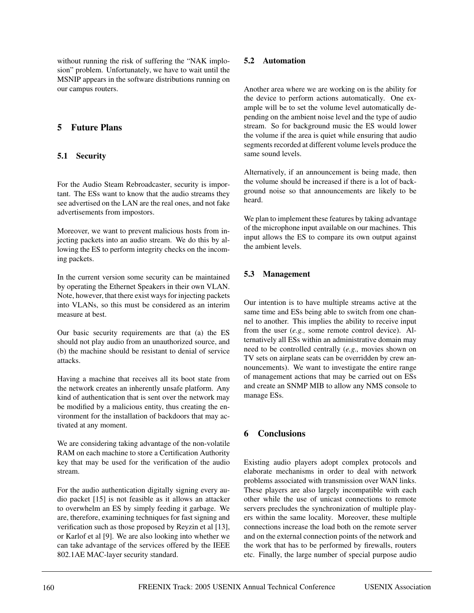without running the risk of suffering the "NAK implosion" problem. Unfortunately, we have to wait until the MSNIP appears in the software distributions running on our campus routers.

# **5 Future Plans**

# **5.1 Security**

For the Audio Steam Rebroadcaster, security is important. The ESs want to know that the audio streams they see advertised on the LAN are the real ones, and not fake advertisements from impostors.

Moreover, we want to prevent malicious hosts from injecting packets into an audio stream. We do this by allowing the ES to perform integrity checks on the incoming packets.

In the current version some security can be maintained by operating the Ethernet Speakers in their own VLAN. Note, however, that there exist ways for injecting packets into VLANs, so this must be considered as an interim measure at best.

Our basic security requirements are that (a) the ES should not play audio from an unauthorized source, and (b) the machine should be resistant to denial of service attacks.

Having a machine that receives all its boot state from the network creates an inherently unsafe platform. Any kind of authentication that is sent over the network may be modified by a malicious entity, thus creating the environment for the installation of backdoors that may activated at any moment.

We are considering taking advantage of the non-volatile RAM on each machine to store a Certification Authority key that may be used for the verification of the audio stream.

For the audio authentication digitally signing every audio packet [15] is not feasible as it allows an attacker to overwhelm an ES by simply feeding it garbage. We are, therefore, examining techniques for fast signing and verification such as those proposed by Reyzin et al [13], or Karlof et al [9]. We are also looking into whether we can take advantage of the services offered by the IEEE 802.1AE MAC-layer security standard.

# **5.2 Automation**

Another area where we are working on is the ability for the device to perform actions automatically. One example will be to set the volume level automatically depending on the ambient noise level and the type of audio stream. So for background music the ES would lower the volume if the area is quiet while ensuring that audio segments recorded at different volume levels produce the same sound levels.

Alternatively, if an announcement is being made, then the volume should be increased if there is a lot of background noise so that announcements are likely to be heard.

We plan to implement these features by taking advantage of the microphone input available on our machines. This input allows the ES to compare its own output against the ambient levels.

# **5.3 Management**

Our intention is to have multiple streams active at the same time and ESs being able to switch from one channel to another. This implies the ability to receive input from the user (*e.g.,* some remote control device). Alternatively all ESs within an administrative domain may need to be controlled centrally (*e.g.,* movies shown on TV sets on airplane seats can be overridden by crew announcements). We want to investigate the entire range of management actions that may be carried out on ESs and create an SNMP MIB to allow any NMS console to manage ESs.

# **6 Conclusions**

Existing audio players adopt complex protocols and elaborate mechanisms in order to deal with network problems associated with transmission over WAN links. These players are also largely incompatible with each other while the use of unicast connections to remote servers precludes the synchronization of multiple players within the same locality. Moreover, these multiple connections increase the load both on the remote server and on the external connection points of the network and the work that has to be performed by firewalls, routers etc. Finally, the large number of special purpose audio